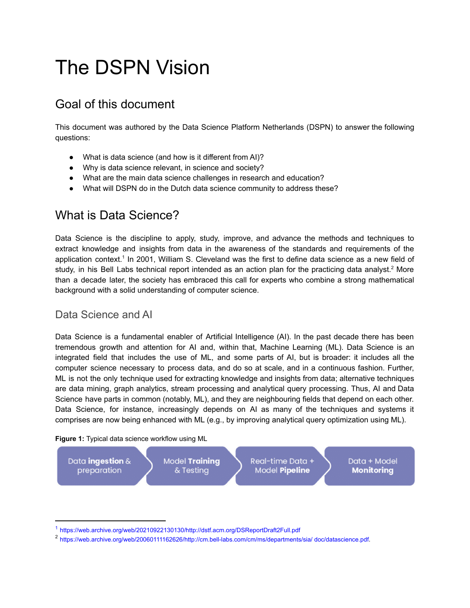# The DSPN Vision

# Goal of this document

This document was authored by the Data Science Platform Netherlands (DSPN) to answer the following questions:

- What is data science (and how is it different from AI)?
- Why is data science relevant, in science and society?
- What are the main data science challenges in research and education?
- What will DSPN do in the Dutch data science community to address these?

# What is Data Science?

Data Science is the discipline to apply, study, improve, and advance the methods and techniques to extract knowledge and insights from data in the awareness of the standards and requirements of the application context.<sup>1</sup> In 2001, William S. Cleveland was the first to define data science as a new field of study, in his Bell Labs technical report intended as an action plan for the practicing data analyst.<sup>2</sup> More than a decade later, the society has embraced this call for experts who combine a strong mathematical background with a solid understanding of computer science.

### Data Science and AI

Data Science is a fundamental enabler of Artificial Intelligence (AI). In the past decade there has been tremendous growth and attention for AI and, within that, Machine Learning (ML). Data Science is an integrated field that includes the use of ML, and some parts of AI, but is broader: it includes all the computer science necessary to process data, and do so at scale, and in a continuous fashion. Further, ML is not the only technique used for extracting knowledge and insights from data; alternative techniques are data mining, graph analytics, stream processing and analytical query processing. Thus, AI and Data Science have parts in common (notably, ML), and they are neighbouring fields that depend on each other. Data Science, for instance, increasingly depends on AI as many of the techniques and systems it comprises are now being enhanced with ML (e.g., by improving analytical query optimization using ML).

#### **Figure 1:** Typical data science workflow using ML



<sup>1</sup> <https://web.archive.org/web/20210922130130/http://dstf.acm.org/DSReportDraft2Full.pdf>

<sup>2</sup> https://web.archive.org/web/20060111162626/http://cm.bell-labs.com/cm/ms/departments/sia/ doc/datascience.pdf.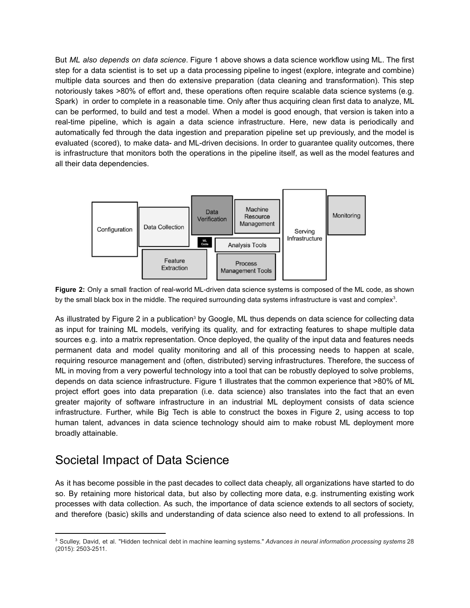But *ML also depends on data science*. Figure 1 above shows a data science workflow using ML. The first step for a data scientist is to set up a data processing pipeline to ingest (explore, integrate and combine) multiple data sources and then do extensive preparation (data cleaning and transformation). This step notoriously takes >80% of effort and, these operations often require scalable data science systems (e.g. Spark) in order to complete in a reasonable time. Only after thus acquiring clean first data to analyze, ML can be performed, to build and test a model. When a model is good enough, that version is taken into a real-time pipeline, which is again a data science infrastructure. Here, new data is periodically and automatically fed through the data ingestion and preparation pipeline set up previously, and the model is evaluated (scored), to make data- and ML-driven decisions. In order to guarantee quality outcomes, there is infrastructure that monitors both the operations in the pipeline itself, as well as the model features and all their data dependencies.



**Figure 2:** Only a small fraction of real-world ML-driven data science systems is composed of the ML code, as shown by the small black box in the middle. The required surrounding data systems infrastructure is vast and complex $3$ .

As illustrated by Figure 2 in a publication<sup>3</sup> by Google, ML thus depends on data science for collecting data as input for training ML models, verifying its quality, and for extracting features to shape multiple data sources e.g. into a matrix representation. Once deployed, the quality of the input data and features needs permanent data and model quality monitoring and all of this processing needs to happen at scale, requiring resource management and (often, distributed) serving infrastructures. Therefore, the success of ML in moving from a very powerful technology into a tool that can be robustly deployed to solve problems, depends on data science infrastructure. Figure 1 illustrates that the common experience that >80% of ML project effort goes into data preparation (i.e. data science) also translates into the fact that an even greater majority of software infrastructure in an industrial ML deployment consists of data science infrastructure. Further, while Big Tech is able to construct the boxes in Figure 2, using access to top human talent, advances in data science technology should aim to make robust ML deployment more broadly attainable.

# Societal Impact of Data Science

As it has become possible in the past decades to collect data cheaply, all organizations have started to do so. By retaining more historical data, but also by collecting more data, e.g. instrumenting existing work processes with data collection. As such, the importance of data science extends to all sectors of society, and therefore (basic) skills and understanding of data science also need to extend to all professions. In

<sup>3</sup> Sculley, David, et al. "Hidden technical debt in machine learning systems." *Advances in neural information processing systems* 28 (2015): 2503-2511.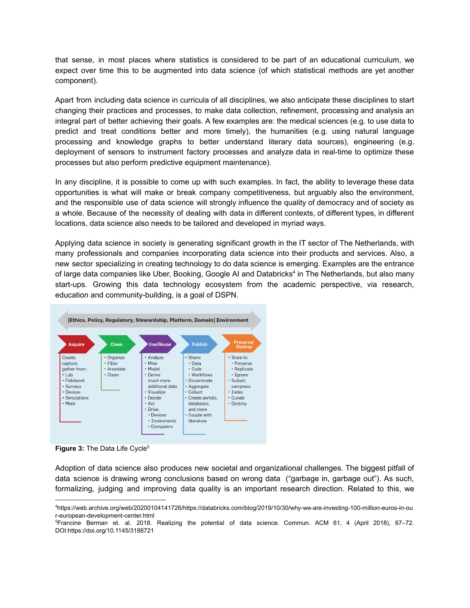that sense, in most places where statistics is considered to be part of an educational curriculum, we expect over time this to be augmented into data science (of which statistical methods are yet another component).

Apart from including data science in curricula of all disciplines, we also anticipate these disciplines to start changing their practices and processes, to make data collection, refinement, processing and analysis an integral part of better achieving their goals. A few examples are: the medical sciences (e.g. to use data to predict and treat conditions better and more timely), the humanities (e.g. using natural language processing and knowledge graphs to better understand literary data sources), engineering (e.g. deployment of sensors to instrument factory processes and analyze data in real-time to optimize these processes but also perform predictive equipment maintenance).

In any discipline, it is possible to come up with such examples. In fact, the ability to leverage these data opportunities is what will make or break company competitiveness, but arguably also the environment, and the responsible use of data science will strongly influence the quality of democracy and of society as a whole. Because of the necessity of dealing with data in different contexts, of different types, in different locations, data science also needs to be tailored and developed in myriad ways.

Applying data science in society is generating significant growth in the IT sector of The Netherlands, with many professionals and companies incorporating data science into their products and services. Also, a new sector specializing in creating technology to do data science is emerging. Examples are the entrance of large data companies like Uber, Booking, Google AI and Databricks<sup>4</sup> in The Netherlands, but also many start-ups. Growing this data technology ecosystem from the academic perspective, via research, education and community-building, is a goal of DSPN.



**Figure 3: The Data Life Cycle<sup>5</sup>** 

Adoption of data science also produces new societal and organizational challenges. The biggest pitfall of data science is drawing wrong conclusions based on wrong data ("garbage in, garbage out"). As such, formalizing, judging and improving data quality is an important research direction. Related to this, we

<sup>4</sup>https://web.archive.org/web/20200104141726/https://databricks.com/blog/2019/10/30/why-we-are-investing-100-million-euros-in-ou r-european-development-center.html

<sup>5</sup>Francine Berman et. al. 2018. Realizing the potential of data science. Commun. ACM 61, 4 (April 2018), 67–72. DOI:https://doi.org/10.1145/3188721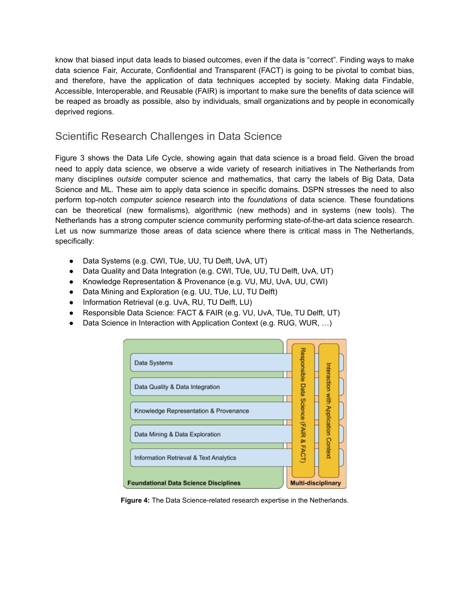know that biased input data leads to biased outcomes, even if the data is "correct". Finding ways to make data science Fair, Accurate, Confidential and Transparent (FACT) is going to be pivotal to combat bias, and therefore, have the application of data techniques accepted by society. Making data Findable, Accessible, Interoperable, and Reusable (FAIR) is important to make sure the benefits of data science will be reaped as broadly as possible, also by individuals, small organizations and by people in economically deprived regions.

## Scientific Research Challenges in Data Science

Figure 3 shows the Data Life Cycle, showing again that data science is a broad field. Given the broad need to apply data science, we observe a wide variety of research initiatives in The Netherlands from many disciplines *outside* computer science and mathematics, that carry the labels of Big Data, Data Science and ML. These aim to apply data science in specific domains. DSPN stresses the need to also perform top-notch *computer science* research into the *foundations* of data science. These foundations can be theoretical (new formalisms), algorithmic (new methods) and in systems (new tools). The Netherlands has a strong computer science community performing state-of-the-art data science research. Let us now summarize those areas of data science where there is critical mass in The Netherlands, specifically:

- Data Systems (e.g. CWI, TUe, UU, TU Delft, UvA, UT)
- Data Quality and Data Integration (e.g. CWI, TUe, UU, TU Delft, UvA, UT)
- Knowledge Representation & Provenance (e.g. VU, MU, UvA, UU, CWI)
- Data Mining and Exploration (e.g. UU, TUe, LU, TU Delft)
- Information Retrieval (e.g. UvA, RU, TU Delft, LU)
- Responsible Data Science: FACT & FAIR (e.g. VU, UvA, TUe, TU Delft, UT)
- Data Science in Interaction with Application Context (e.g. RUG, WUR, ...)

| Data Systems                                 | Responsible                |                                      |
|----------------------------------------------|----------------------------|--------------------------------------|
|                                              |                            |                                      |
| Data Quality & Data Integration              |                            |                                      |
|                                              |                            |                                      |
| Knowledge Representation & Provenance        | Data Science (FAIR & FACT) | Interaction with Application Context |
|                                              |                            |                                      |
| Data Mining & Data Exploration               |                            |                                      |
|                                              |                            |                                      |
| Information Retrieval & Text Analytics       |                            |                                      |
|                                              |                            |                                      |
| <b>Foundational Data Science Disciplines</b> | <b>Multi-disciplinary</b>  |                                      |

**Figure 4:** The Data Science-related research expertise in the Netherlands.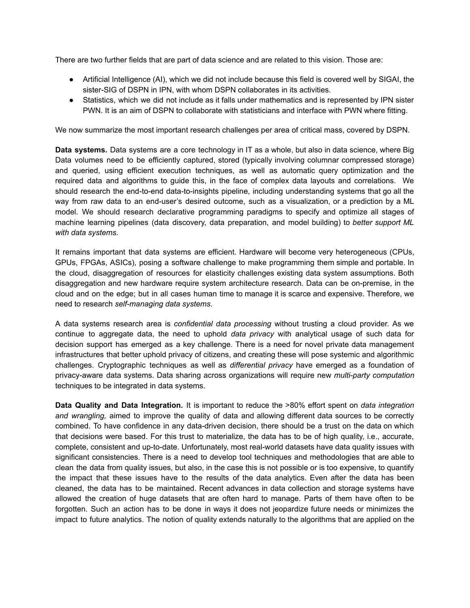There are two further fields that are part of data science and are related to this vision. Those are:

- Artificial Intelligence (AI), which we did not include because this field is covered well by SIGAI, the sister-SIG of DSPN in IPN, with whom DSPN collaborates in its activities.
- Statistics, which we did not include as it falls under mathematics and is represented by IPN sister PWN. It is an aim of DSPN to collaborate with statisticians and interface with PWN where fitting.

We now summarize the most important research challenges per area of critical mass, covered by DSPN.

**Data systems.** Data systems are a core technology in IT as a whole, but also in data science, where Big Data volumes need to be efficiently captured, stored (typically involving columnar compressed storage) and queried, using efficient execution techniques, as well as automatic query optimization and the required data and algorithms to guide this, in the face of complex data layouts and correlations. We should research the end-to-end data-to-insights pipeline, including understanding systems that go all the way from raw data to an end-user's desired outcome, such as a visualization, or a prediction by a ML model. We should research declarative programming paradigms to specify and optimize all stages of machine learning pipelines (data discovery, data preparation, and model building) to *better support ML with data systems*.

It remains important that data systems are efficient. Hardware will become very heterogeneous (CPUs, GPUs, FPGAs, ASICs), posing a software challenge to make programming them simple and portable. In the cloud, disaggregation of resources for elasticity challenges existing data system assumptions. Both disaggregation and new hardware require system architecture research. Data can be on-premise, in the cloud and on the edge; but in all cases human time to manage it is scarce and expensive. Therefore, we need to research *self-managing data systems*.

A data systems research area is *confidential data processing* without trusting a cloud provider. As we continue to aggregate data, the need to uphold *data privacy* with analytical usage of such data for decision support has emerged as a key challenge. There is a need for novel private data management infrastructures that better uphold privacy of citizens, and creating these will pose systemic and algorithmic challenges. Cryptographic techniques as well as *differential privacy* have emerged as a foundation of privacy-aware data systems. Data sharing across organizations will require new *multi-party computation* techniques to be integrated in data systems.

**Data Quality and Data Integration.** It is important to reduce the >80% effort spent on *data integration and wrangling,* aimed to improve the quality of data and allowing different data sources to be correctly combined. To have confidence in any data-driven decision, there should be a trust on the data on which that decisions were based. For this trust to materialize, the data has to be of high quality, i.e., accurate, complete, consistent and up-to-date. Unfortunately, most real-world datasets have data quality issues with significant consistencies. There is a need to develop tool techniques and methodologies that are able to clean the data from quality issues, but also, in the case this is not possible or is too expensive, to quantify the impact that these issues have to the results of the data analytics. Even after the data has been cleaned, the data has to be maintained. Recent advances in data collection and storage systems have allowed the creation of huge datasets that are often hard to manage. Parts of them have often to be forgotten. Such an action has to be done in ways it does not jeopardize future needs or minimizes the impact to future analytics. The notion of quality extends naturally to the algorithms that are applied on the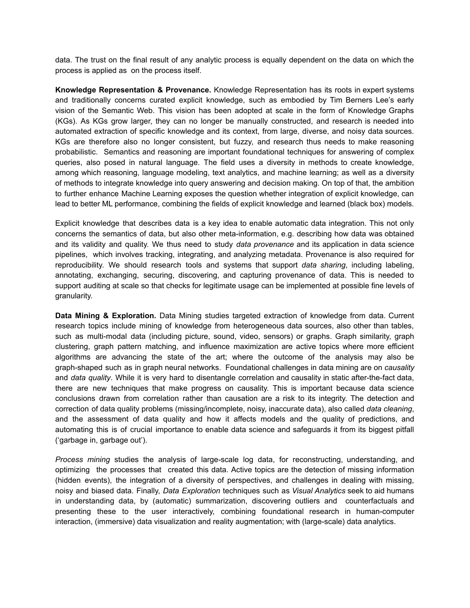data. The trust on the final result of any analytic process is equally dependent on the data on which the process is applied as on the process itself.

**Knowledge Representation & Provenance.** Knowledge Representation has its roots in expert systems and traditionally concerns curated explicit knowledge, such as embodied by Tim Berners Lee's early vision of the Semantic Web. This vision has been adopted at scale in the form of Knowledge Graphs (KGs). As KGs grow larger, they can no longer be manually constructed, and research is needed into automated extraction of specific knowledge and its context, from large, diverse, and noisy data sources. KGs are therefore also no longer consistent, but fuzzy, and research thus needs to make reasoning probabilistic. Semantics and reasoning are important foundational techniques for answering of complex queries, also posed in natural language. The field uses a diversity in methods to create knowledge, among which reasoning, language modeling, text analytics, and machine learning; as well as a diversity of methods to integrate knowledge into query answering and decision making. On top of that, the ambition to further enhance Machine Learning exposes the question whether integration of explicit knowledge, can lead to better ML performance, combining the fields of explicit knowledge and learned (black box) models.

Explicit knowledge that describes data is a key idea to enable automatic data integration. This not only concerns the semantics of data, but also other meta-information, e.g. describing how data was obtained and its validity and quality. We thus need to study *data provenance* and its application in data science pipelines, which involves tracking, integrating, and analyzing metadata. Provenance is also required for reproducibility. We should research tools and systems that support *data sharing*, including labeling, annotating, exchanging, securing, discovering, and capturing provenance of data. This is needed to support auditing at scale so that checks for legitimate usage can be implemented at possible fine levels of granularity.

**Data Mining & Exploration.** Data Mining studies targeted extraction of knowledge from data. Current research topics include mining of knowledge from heterogeneous data sources, also other than tables, such as multi-modal data (including picture, sound, video, sensors) or graphs. Graph similarity, graph clustering, graph pattern matching, and influence maximization are active topics where more efficient algorithms are advancing the state of the art; where the outcome of the analysis may also be graph-shaped such as in graph neural networks. Foundational challenges in data mining are on *causality* and *data quality*. While it is very hard to disentangle correlation and causality in static after-the-fact data, there are new techniques that make progress on causality. This is important because data science conclusions drawn from correlation rather than causation are a risk to its integrity. The detection and correction of data quality problems (missing/incomplete, noisy, inaccurate data), also called *data cleaning*, and the assessment of data quality and how it affects models and the quality of predictions, and automating this is of crucial importance to enable data science and safeguards it from its biggest pitfall ('garbage in, garbage out').

*Process mining* studies the analysis of large-scale log data, for reconstructing, understanding, and optimizing the processes that created this data. Active topics are the detection of missing information (hidden events), the integration of a diversity of perspectives, and challenges in dealing with missing, noisy and biased data. Finally, *Data Exploration* techniques such as *Visual Analytics* seek to aid humans in understanding data, by (automatic) summarization, discovering outliers and counterfactuals and presenting these to the user interactively, combining foundational research in human-computer interaction, (immersive) data visualization and reality augmentation; with (large-scale) data analytics.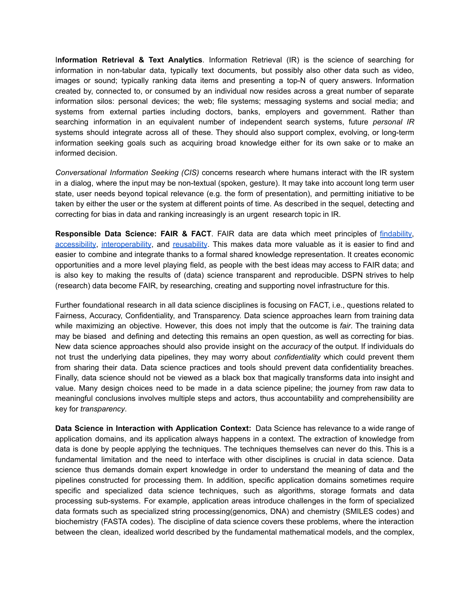I**nformation Retrieval & Text Analytics**. Information Retrieval (IR) is the science of searching for information in non-tabular data, typically text documents, but possibly also other data such as video, images or sound; typically ranking data items and presenting a top-N of query answers. Information created by, connected to, or consumed by an individual now resides across a great number of separate information silos: personal devices; the web; file systems; messaging systems and social media; and systems from external parties including doctors, banks, employers and government. Rather than searching information in an equivalent number of independent search systems, future *personal IR* systems should integrate across all of these. They should also support complex, evolving, or long-term information seeking goals such as acquiring broad knowledge either for its own sake or to make an informed decision.

*Conversational Information Seeking (CIS)* concerns research where humans interact with the IR system in a dialog, where the input may be non-textual (spoken, gesture). It may take into account long term user state, user needs beyond topical relevance (e.g. the form of presentation), and permitting initiative to be taken by either the user or the system at different points of time. As described in the sequel, detecting and correcting for bias in data and ranking increasingly is an urgent research topic in IR.

**Responsible Data Science: FAIR & FACT**. FAIR data are data which meet principles of [findability,](https://en.wikipedia.org/wiki/Findability) [accessibility](https://en.wikipedia.org/wiki/Accessibility), [interoperability](https://en.wikipedia.org/wiki/Interoperability), and [reusability](https://en.wikipedia.org/wiki/Reusability). This makes data more valuable as it is easier to find and easier to combine and integrate thanks to a formal shared knowledge representation. It creates economic opportunities and a more level playing field, as people with the best ideas may access to FAIR data; and is also key to making the results of (data) science transparent and reproducible. DSPN strives to help (research) data become FAIR, by researching, creating and supporting novel infrastructure for this.

Further foundational research in all data science disciplines is focusing on FACT, i.e., questions related to Fairness, Accuracy, Confidentiality, and Transparency. Data science approaches learn from training data while maximizing an objective. However, this does not imply that the outcome is *fair*. The training data may be biased and defining and detecting this remains an open question, as well as correcting for bias. New data science approaches should also provide insight on the *accuracy* of the output. If individuals do not trust the underlying data pipelines, they may worry about *confidentiality* which could prevent them from sharing their data. Data science practices and tools should prevent data confidentiality breaches. Finally, data science should not be viewed as a black box that magically transforms data into insight and value. Many design choices need to be made in a data science pipeline; the journey from raw data to meaningful conclusions involves multiple steps and actors, thus accountability and comprehensibility are key for *transparency*.

**Data Science in Interaction with Application Context:** Data Science has relevance to a wide range of application domains, and its application always happens in a context. The extraction of knowledge from data is done by people applying the techniques. The techniques themselves can never do this. This is a fundamental limitation and the need to interface with other disciplines is crucial in data science. Data science thus demands domain expert knowledge in order to understand the meaning of data and the pipelines constructed for processing them. In addition, specific application domains sometimes require specific and specialized data science techniques, such as algorithms, storage formats and data processing sub-systems. For example, application areas introduce challenges in the form of specialized data formats such as specialized string processing(genomics, DNA) and chemistry (SMILES codes) and biochemistry (FASTA codes). The discipline of data science covers these problems, where the interaction between the clean, idealized world described by the fundamental mathematical models, and the complex,